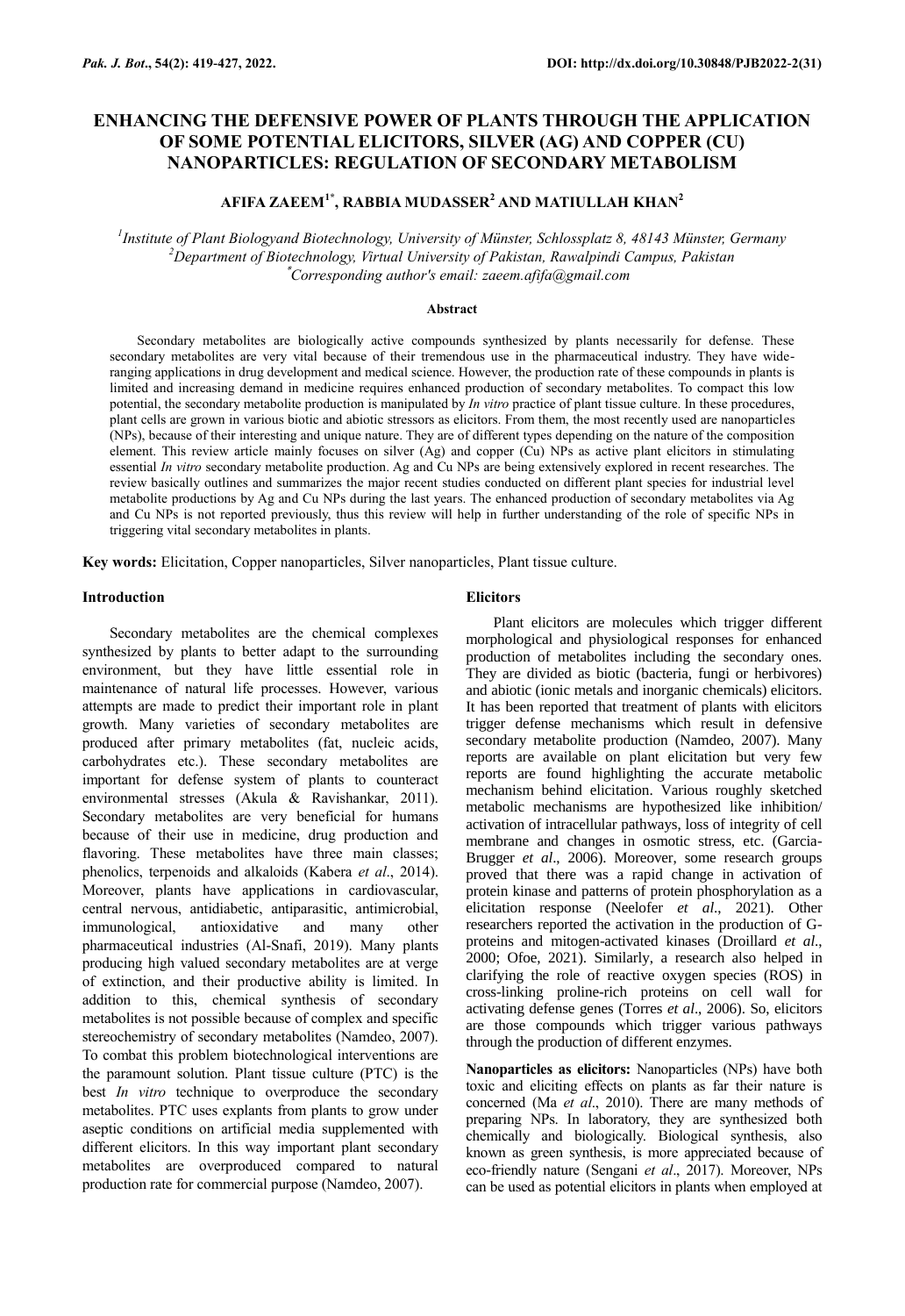# **ENHANCING THE DEFENSIVE POWER OF PLANTS THROUGH THE APPLICATION OF SOME POTENTIAL ELICITORS, SILVER (AG) AND COPPER (CU) NANOPARTICLES: REGULATION OF SECONDARY METABOLISM**

## **AFIFA ZAEEM1\* , RABBIA MUDASSER<sup>2</sup> AND MATIULLAH KHAN<sup>2</sup>**

*1 Institute of Plant Biologyand Biotechnology, University of Münster, Schlossplatz 8, 48143 Münster, Germany <sup>2</sup>Department of Biotechnology, Virtual University of Pakistan, Rawalpindi Campus, Pakistan* \**Corresponding author's email: zaeem.afifa@gmail.com*

## **Abstract**

Secondary metabolites are biologically active compounds synthesized by plants necessarily for defense. These secondary metabolites are very vital because of their tremendous use in the pharmaceutical industry. They have wideranging applications in drug development and medical science. However, the production rate of these compounds in plants is limited and increasing demand in medicine requires enhanced production of secondary metabolites. To compact this low potential, the secondary metabolite production is manipulated by *In vitro* practice of plant tissue culture. In these procedures, plant cells are grown in various biotic and abiotic stressors as elicitors. From them, the most recently used are nanoparticles (NPs), because of their interesting and unique nature. They are of different types depending on the nature of the composition element. This review article mainly focuses on silver (Ag) and copper (Cu) NPs as active plant elicitors in stimulating essential *In vitro* secondary metabolite production. Ag and Cu NPs are being extensively explored in recent researches. The review basically outlines and summarizes the major recent studies conducted on different plant species for industrial level metabolite productions by Ag and Cu NPs during the last years. The enhanced production of secondary metabolites via Ag and Cu NPs is not reported previously, thus this review will help in further understanding of the role of specific NPs in triggering vital secondary metabolites in plants.

**Key words:** Elicitation, Copper nanoparticles, Silver nanoparticles, Plant tissue culture.

## **Introduction**

Secondary metabolites are the chemical complexes synthesized by plants to better adapt to the surrounding environment, but they have little essential role in maintenance of natural life processes. However, various attempts are made to predict their important role in plant growth. Many varieties of secondary metabolites are produced after primary metabolites (fat, nucleic acids, carbohydrates etc.). These secondary metabolites are important for defense system of plants to counteract environmental stresses (Akula & Ravishankar, 2011). Secondary metabolites are very beneficial for humans because of their use in medicine, drug production and flavoring. These metabolites have three main classes; phenolics, terpenoids and alkaloids (Kabera *et al*., 2014). Moreover, plants have applications in cardiovascular, central nervous, antidiabetic, antiparasitic, antimicrobial, immunological, antioxidative and many other pharmaceutical industries (Al-Snafi, 2019). Many plants producing high valued secondary metabolites are at verge of extinction, and their productive ability is limited. In addition to this, chemical synthesis of secondary metabolites is not possible because of complex and specific stereochemistry of secondary metabolites (Namdeo, 2007). To combat this problem biotechnological interventions are the paramount solution. Plant tissue culture (PTC) is the best *In vitro* technique to overproduce the secondary metabolites. PTC uses explants from plants to grow under aseptic conditions on artificial media supplemented with different elicitors. In this way important plant secondary metabolites are overproduced compared to natural production rate for commercial purpose (Namdeo, 2007).

## **Elicitors**

Plant elicitors are molecules which trigger different morphological and physiological responses for enhanced production of metabolites including the secondary ones. They are divided as biotic (bacteria, fungi or herbivores) and abiotic (ionic metals and inorganic chemicals) elicitors. It has been reported that treatment of plants with elicitors trigger defense mechanisms which result in defensive secondary metabolite production (Namdeo, 2007). Many reports are available on plant elicitation but very few reports are found highlighting the accurate metabolic mechanism behind elicitation. Various roughly sketched metabolic mechanisms are hypothesized like inhibition/ activation of intracellular pathways, loss of integrity of cell membrane and changes in osmotic stress, etc. (Garcia-Brugger *et al*., 2006). Moreover, some research groups proved that there was a rapid change in activation of protein kinase and patterns of protein phosphorylation as a elicitation response (Neelofer *et al*., 2021). Other researchers reported the activation in the production of Gproteins and mitogen-activated kinases (Droillard *et al*., 2000; Ofoe, 2021). Similarly, a research also helped in clarifying the role of reactive oxygen species (ROS) in cross-linking proline-rich proteins on cell wall for activating defense genes (Torres *et al*., 2006). So, elicitors are those compounds which trigger various pathways through the production of different enzymes.

**Nanoparticles as elicitors:** Nanoparticles (NPs) have both toxic and eliciting effects on plants as far their nature is concerned (Ma *et al*., 2010). There are many methods of preparing NPs. In laboratory, they are synthesized both chemically and biologically. Biological synthesis, also known as green synthesis, is more appreciated because of eco-friendly nature (Sengani *et al*., 2017). Moreover, NPs can be used as potential elicitors in plants when employed at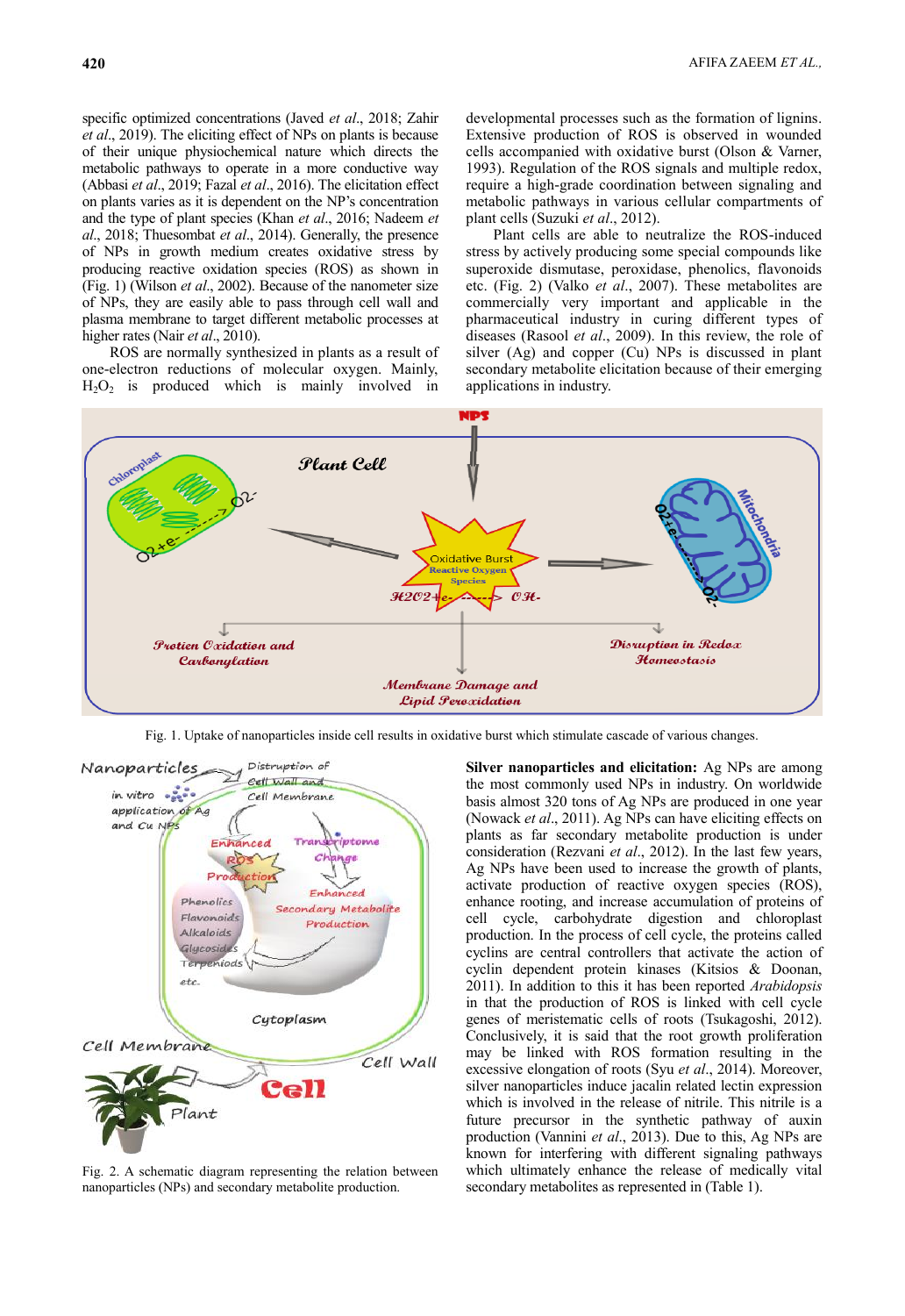specific optimized concentrations (Javed *et al*., 2018; Zahir *et al*., 2019). The eliciting effect of NPs on plants is because of their unique physiochemical nature which directs the metabolic pathways to operate in a more conductive way (Abbasi *et al*., 2019; Fazal *et al*., 2016). The elicitation effect on plants varies as it is dependent on the NP's concentration and the type of plant species (Khan *et al*., 2016; Nadeem *et al*., 2018; Thuesombat *et al*., 2014). Generally, the presence of NPs in growth medium creates oxidative stress by producing reactive oxidation species (ROS) as shown in (Fig. 1) (Wilson *et al*., 2002). Because of the nanometer size of NPs, they are easily able to pass through cell wall and plasma membrane to target different metabolic processes at higher rates (Nair *et al*., 2010).

ROS are normally synthesized in plants as a result of one-electron reductions of molecular oxygen. Mainly,  $H<sub>2</sub>O<sub>2</sub>$  is produced which is mainly involved in

developmental processes such as the formation of lignins. Extensive production of ROS is observed in wounded cells accompanied with oxidative burst (Olson & Varner, 1993). Regulation of the ROS signals and multiple redox, require a high-grade coordination between signaling and metabolic pathways in various cellular compartments of plant cells (Suzuki *et al*., 2012).

Plant cells are able to neutralize the ROS-induced stress by actively producing some special compounds like superoxide dismutase, peroxidase, phenolics, flavonoids etc. (Fig. 2) (Valko *et al*., 2007). These metabolites are commercially very important and applicable in the pharmaceutical industry in curing different types of diseases (Rasool *et al*., 2009). In this review, the role of silver (Ag) and copper (Cu) NPs is discussed in plant secondary metabolite elicitation because of their emerging applications in industry.



Fig. 1. Uptake of nanoparticles inside cell results in oxidative burst which stimulate cascade of various changes.



Fig. 2. A schematic diagram representing the relation between nanoparticles (NPs) and secondary metabolite production.

**Silver nanoparticles and elicitation:** Ag NPs are among the most commonly used NPs in industry. On worldwide basis almost 320 tons of Ag NPs are produced in one year (Nowack *et al*., 2011). Ag NPs can have eliciting effects on plants as far secondary metabolite production is under consideration (Rezvani *et al*., 2012). In the last few years, Ag NPs have been used to increase the growth of plants, activate production of reactive oxygen species (ROS), enhance rooting, and increase accumulation of proteins of cell cycle, carbohydrate digestion and chloroplast production. In the process of cell cycle, the proteins called cyclins are central controllers that activate the action of cyclin dependent protein kinases (Kitsios & Doonan, 2011). In addition to this it has been reported *Arabidopsis* in that the production of ROS is linked with cell cycle genes of meristematic cells of roots (Tsukagoshi, 2012). Conclusively, it is said that the root growth proliferation may be linked with ROS formation resulting in the excessive elongation of roots (Syu *et al*., 2014). Moreover, silver nanoparticles induce jacalin related lectin expression which is involved in the release of nitrile. This nitrile is a future precursor in the synthetic pathway of auxin production (Vannini *et al*., 2013). Due to this, Ag NPs are known for interfering with different signaling pathways which ultimately enhance the release of medically vital secondary metabolites as represented in (Table 1).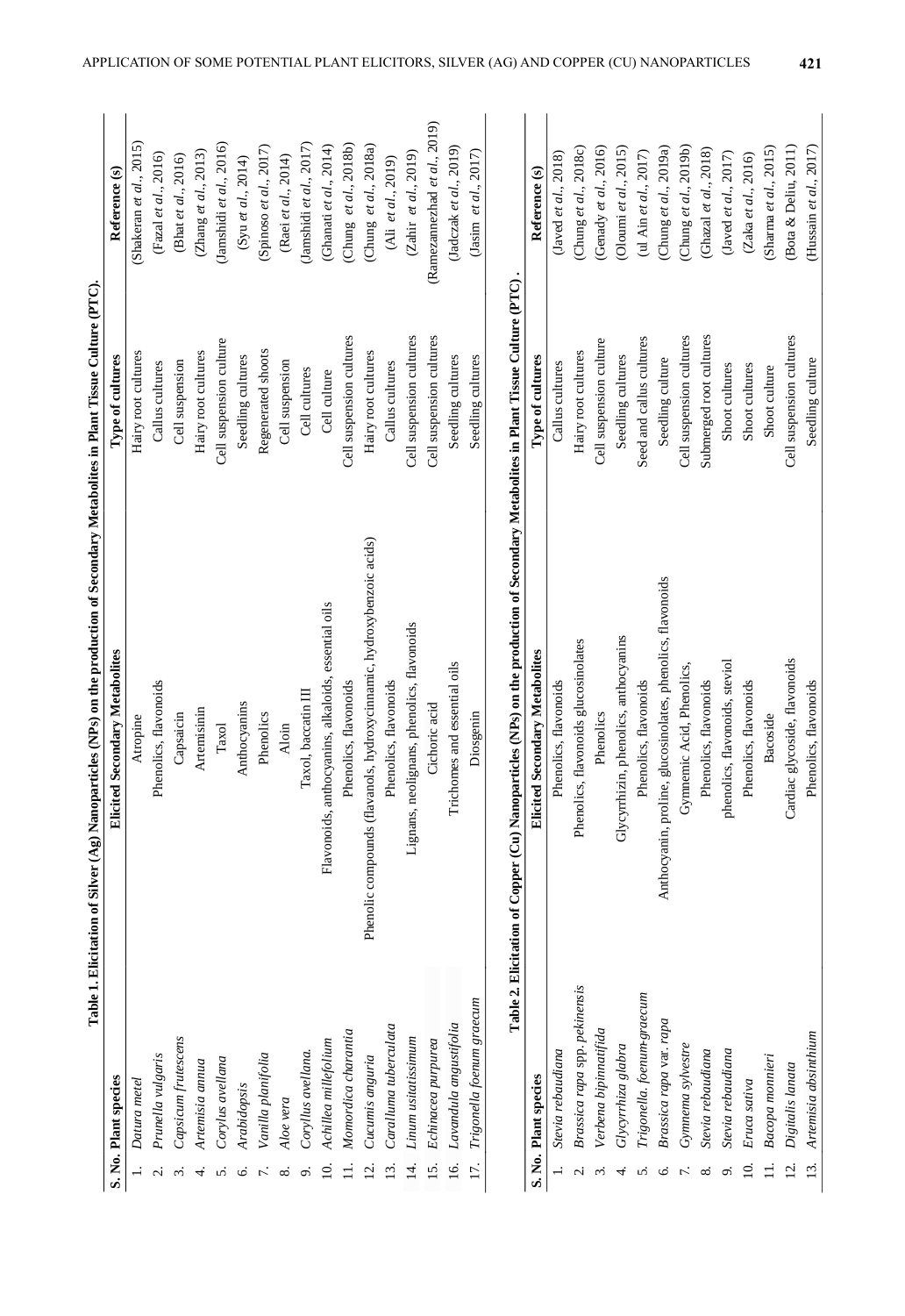|                  |                               | Table I. Elicitation of Silver (Ag) Nanoparticles (NPs) on the production of Secondary Metabolites in Plant Tissue Culture (PTC). |                          |                              |
|------------------|-------------------------------|-----------------------------------------------------------------------------------------------------------------------------------|--------------------------|------------------------------|
|                  | S. No. Plant species          | Elicited Secondary Metabolites                                                                                                    | Type of cultures         | Reference (s)                |
|                  | Datura metel                  | Atropine                                                                                                                          | Hairy root cultures      | (Shakeran et al., 2015)      |
|                  | Prunella vulgaris             | Phenolics, flavonoids                                                                                                             | Callus cultures          | $($ Fazal et al., 2016)      |
| $\dot{\rm e}$    | Capsicum frutescens           | Capsaicin                                                                                                                         | Cell suspension          | (Bhat et al., 2016)          |
| 4                | Artemisia annua               | Artemisinin                                                                                                                       | Hairy root cultures      | (Zhang et al., 2013)         |
| n                | Corylus avellana              | $\rm {T} \rm {axol}$                                                                                                              | Cell suspension culture  | (Jamshidi et al., 2016)      |
| Ö                | Arabidopsis                   | Anthocyanins                                                                                                                      | Seedling cultures        | (Syu et al., 2014)           |
|                  | Vanilla planifolia            | Phenolics                                                                                                                         | Regenerated shoots       | (Spinoso et al., 2017)       |
| ∞                | Aloe vera                     | Aloin                                                                                                                             | Cell suspension          | (Raei et al., 2014)          |
| Ö                | Coryllus avellana.            | Taxol, baccatin III                                                                                                               | Cell cultures            | (Jamshidi et al., 2017)      |
| $\Xi$            | Achillea millefolium          | Flavonoids, anthocyanins, alkaloids, essential oils                                                                               | Cell culture             | (Ghanati et al., 2014)       |
| ≓                | Momordica charantia           | Phenolics, flavonoids                                                                                                             | Cell suspension cultures | (Chung et al., 2018b)        |
| $\overline{c}$   | Cucumis anguria               | Phenolic compounds (flavanols, hydroxycinnamic, hydroxybenzoic acids)                                                             | Hairy root cultures      | (Chung et al., 2018a)        |
| $\Xi$            | Caralluma tuberculata         | Phenolics, flavonoids                                                                                                             | Callus cultures          | (Ali et al., 2019)           |
| 4.               | Linum usitatissimum           | Lignans, neolignans, phenolics, flavonoids                                                                                        | Cell suspension cultures | (Zahir et al., 2019)         |
| 15.              | Echinacea purpurea            | Cichoric acid                                                                                                                     | Cell suspension cultures | (Ramezannezhad et al., 2019) |
| <u>ة</u>         | Lavandula angustifolia        | Trichomes and essential oils                                                                                                      | Seedling cultures        | (Jadczak et al., 2019)       |
| 17.              | Trigonella foenum graecum     | Diosgenin                                                                                                                         | Seedling cultures        | (Jasim et al., $2017$ )      |
|                  |                               | Table 2. Elicitation of Copper (Cu) Nanoparticles (NPs) on the production of Secondary Metabolites in Plant Tissue Culture (PTC)  |                          |                              |
|                  | S. No. Plant species          | <b>Elicited Secondary Metabolites</b>                                                                                             | Type of cultures         | Reference (s)                |
|                  | Stevia rebaudiana             | Phenolics, flavonoids                                                                                                             | Callus cultures          | (Javed et al., $2018$ )      |
| Ń                | Brassica rapa spp. pekinensis | Phenolics, flavonoids glucosinolates                                                                                              | Hairy root cultures      | (Chung et al., 2018c)        |
| $\dot{\rm e}$    | Verbena bipinnatifida         | Phenolics                                                                                                                         | Cell suspension culture  | (Genady et al., 2016)        |
| 4.               | Glycyrrhiza glabra            | Glycyrrhizin, phenolics, anthocyanins                                                                                             | Seedling cultures        | (Oloumi et al., $2015$ )     |
| n                | Trigonella. foenum-graecum    | Phenolics, flavonoids                                                                                                             | Seed and callus cultures | (ul Ain et al., 2017)        |
| Ó                | Brassica rapa var. rapa       | Anthocyanin, proline, glucosinolates, phenolics, flavonoids                                                                       | Seedling culture         | (Chung et al., 2019a)        |
|                  | Gymnema sylvestre             | Gymnemic Acid, Phenolics,                                                                                                         | Cell suspension cultures | (Chung et $al., 2019b$ )     |
| ∞ं               | Stevia rebaudiana             | Phenolics, flavonoids                                                                                                             | Submerged root cultures  | (Ghazal et al., 2018)        |
| Ö                | Stevia rebaudiana             | phenolics, flavonoids, steviol                                                                                                    | Shoot cultures           | (Javed et al., $2017$ )      |
| $\Xi$            | Eruca sativa                  | Phenolics, flavonoids                                                                                                             | Shoot cultures           | (Zaka et al., 2016)          |
|                  | Bacopa monnieri               | Bacoside                                                                                                                          | Shoot culture            | (Sharma et al., 2015)        |
| $\overline{2}$ . | Digitalis lanata              | Cardiac glycoside, flavonoids                                                                                                     | Cell suspension cultures | (Bota & Deliu, 2011)         |

 $(\text{Hussain } et~al., 2017)$ 

Seedling culture

13. *Artemisia absinthium* Phenolics, flavonoids Seedling culture (Hussain *et al*., 2017)

Phenolics, flavonoids

Artemisia absinthium

 $13.$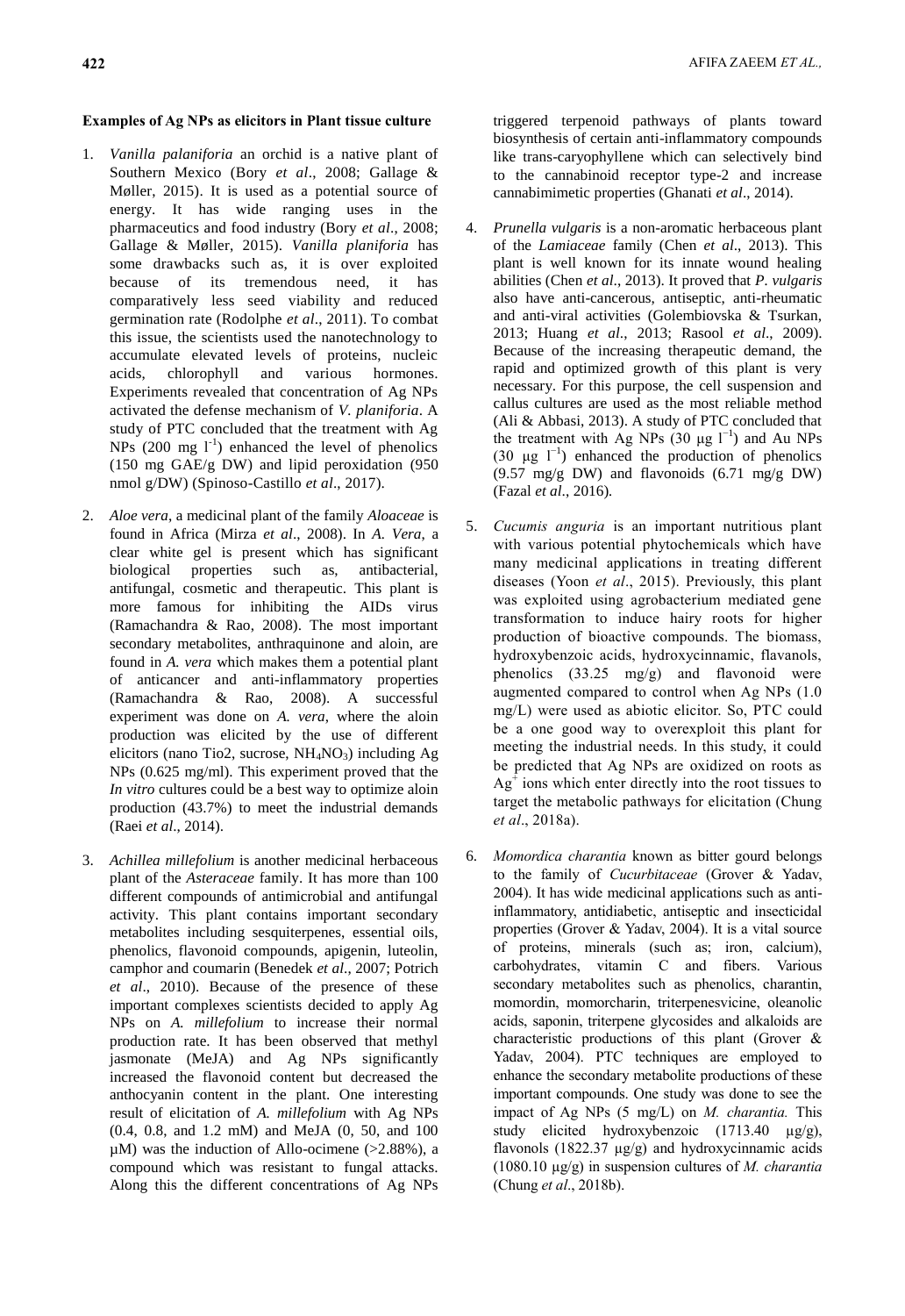## **Examples of Ag NPs as elicitors in Plant tissue culture**

- 1. *Vanilla palaniforia* an orchid is a native plant of Southern Mexico (Bory *et al*., 2008; Gallage & Møller, 2015). It is used as a potential source of energy. It has wide ranging uses in the pharmaceutics and food industry (Bory *et al*., 2008; Gallage & Møller, 2015). *Vanilla planiforia* has some drawbacks such as, it is over exploited because of its tremendous need, it has comparatively less seed viability and reduced germination rate (Rodolphe *et al*., 2011). To combat this issue, the scientists used the nanotechnology to accumulate elevated levels of proteins, nucleic acids, chlorophyll and various hormones. Experiments revealed that concentration of Ag NPs activated the defense mechanism of *V. planiforia*. A study of PTC concluded that the treatment with Ag NPs  $(200 \text{ mg } l^{\text{-}1})$  enhanced the level of phenolics (150 mg GAE/g DW) and lipid peroxidation (950 nmol g/DW) (Spinoso-Castillo *et al*., 2017).
- 2. *Aloe vera*, a medicinal plant of the family *Aloaceae* is found in Africa (Mirza *et al*., 2008). In *A. Vera*, a clear white gel is present which has significant biological properties such as, antibacterial, antifungal, cosmetic and therapeutic. This plant is more famous for inhibiting the AIDs virus (Ramachandra & Rao, 2008). The most important secondary metabolites, anthraquinone and aloin, are found in *A. vera* which makes them a potential plant of anticancer and anti-inflammatory properties (Ramachandra & Rao, 2008). A successful experiment was done on *A. vera*, where the aloin production was elicited by the use of different elicitors (nano Tio2, sucrose,  $NH<sub>4</sub>NO<sub>3</sub>$ ) including Ag NPs (0.625 mg/ml). This experiment proved that the *In vitro* cultures could be a best way to optimize aloin production (43.7%) to meet the industrial demands (Raei *et al*., 2014).
- 3. *Achillea millefolium* is another medicinal herbaceous plant of the *Asteraceae* family. It has more than 100 different compounds of antimicrobial and antifungal activity. This plant contains important secondary metabolites including sesquiterpenes, essential oils, phenolics, flavonoid compounds, apigenin, luteolin, camphor and coumarin (Benedek *et al*., 2007; Potrich *et al*., 2010). Because of the presence of these important complexes scientists decided to apply Ag NPs on *A. millefolium* to increase their normal production rate. It has been observed that methyl jasmonate (MeJA) and Ag NPs significantly increased the flavonoid content but decreased the anthocyanin content in the plant. One interesting result of elicitation of *A. millefolium* with Ag NPs (0.4, 0.8, and 1.2 mM) and MeJA (0, 50, and 100  $\mu$ M) was the induction of Allo-ocimene (>2.88%), a compound which was resistant to fungal attacks. Along this the different concentrations of Ag NPs

triggered terpenoid pathways of plants toward biosynthesis of certain anti-inflammatory compounds like trans-caryophyllene which can selectively bind to the cannabinoid receptor type-2 and increase cannabimimetic properties (Ghanati *et al*., 2014).

- 4. *Prunella vulgaris* is a non-aromatic herbaceous plant of the *Lamiaceae* family (Chen *et al*., 2013). This plant is well known for its innate wound healing abilities (Chen *et al*., 2013). It proved that *P. vulgaris* also have anti-cancerous, antiseptic, anti-rheumatic and anti-viral activities (Golembiovska & Tsurkan, 2013; Huang *et al*., 2013; Rasool *et al*., 2009). Because of the increasing therapeutic demand, the rapid and optimized growth of this plant is very necessary. For this purpose, the cell suspension and callus cultures are used as the most reliable method (Ali & Abbasi, 2013). A study of PTC concluded that the treatment with Ag NPs (30 μg  $l^{-1}$ ) and Au NPs (30 μg  $l^{-1}$ ) enhanced the production of phenolics (9.57 mg/g DW) and flavonoids (6.71 mg/g DW) (Fazal *et al*., 2016)*.*
- 5. *Cucumis anguria* is an important nutritious plant with various potential phytochemicals which have many medicinal applications in treating different diseases (Yoon *et al*., 2015). Previously, this plant was exploited using agrobacterium mediated gene transformation to induce hairy roots for higher production of bioactive compounds. The biomass, hydroxybenzoic acids, hydroxycinnamic, flavanols, phenolics (33.25 mg/g) and flavonoid were augmented compared to control when Ag NPs (1.0 mg/L) were used as abiotic elicitor. So, PTC could be a one good way to overexploit this plant for meeting the industrial needs. In this study, it could be predicted that Ag NPs are oxidized on roots as  $Ag<sup>+</sup>$  ions which enter directly into the root tissues to target the metabolic pathways for elicitation (Chung *et al*., 2018a).
- 6. *Momordica charantia* known as bitter gourd belongs to the family of *Cucurbitaceae* (Grover & Yadav, 2004). It has wide medicinal applications such as antiinflammatory, antidiabetic, antiseptic and insecticidal properties (Grover & Yadav, 2004). It is a vital source of proteins, minerals (such as; iron, calcium), carbohydrates, vitamin C and fibers. Various secondary metabolites such as phenolics, charantin, momordin, momorcharin, triterpenesvicine, oleanolic acids, saponin, triterpene glycosides and alkaloids are characteristic productions of this plant (Grover & Yadav, 2004). PTC techniques are employed to enhance the secondary metabolite productions of these important compounds. One study was done to see the impact of Ag NPs (5 mg/L) on *M. charantia.* This study elicited hydroxybenzoic (1713.40  $\mu$ g/g), flavonols (1822.37  $\mu$ g/g) and hydroxycinnamic acids (1080.10 µg/g) in suspension cultures of *M. charantia*  (Chung *et al*., 2018b).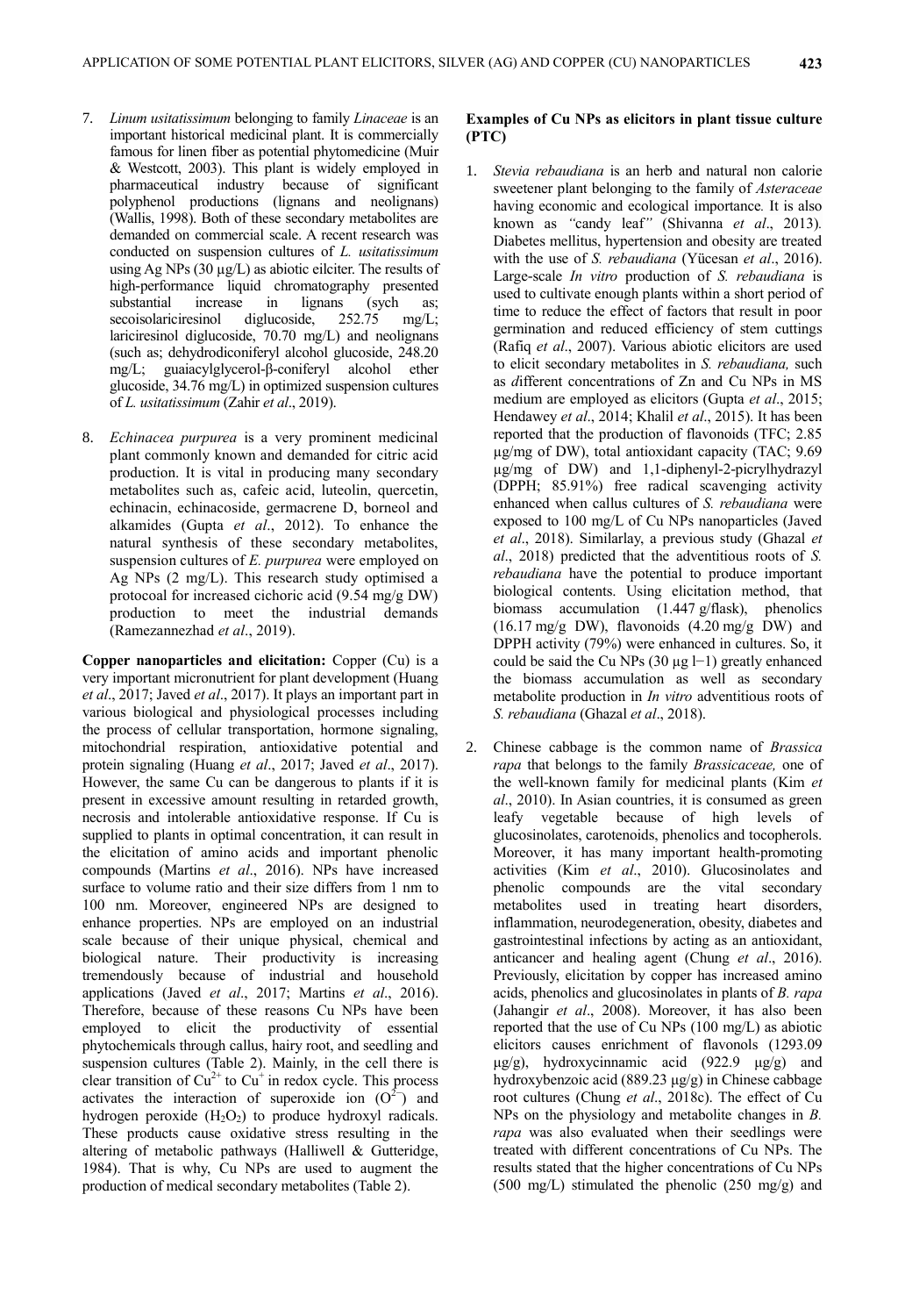- 7. *Linum usitatissimum* belonging to family *Linaceae* is an important historical medicinal plant. It is commercially famous for linen fiber as potential phytomedicine (Muir & Westcott, 2003). This plant is widely employed in pharmaceutical industry because of significant polyphenol productions (lignans and neolignans) (Wallis, 1998). Both of these secondary metabolites are demanded on commercial scale. A recent research was conducted on suspension cultures of *L. usitatissimum* using Ag NPs  $(30 \mu g/L)$  as abiotic eilciter. The results of high-performance liquid chromatography presented<br>substantial increase in lignans (sych as; substantial increase in lignans (sych as; secoisolariciresinol diglucoside, 252.75 mg/L; lariciresinol diglucoside, 70.70 mg/L) and neolignans (such as; dehydrodiconiferyl alcohol glucoside, 248.20 mg/L; guaiacylglycerol-β-coniferyl alcohol ether glucoside, 34.76 mg/L) in optimized suspension cultures of *L. usitatissimum* (Zahir *et al*., 2019).
- 8. *Echinacea purpurea* is a very prominent medicinal plant commonly known and demanded for citric acid production. It is vital in producing many secondary metabolites such as, cafeic acid, luteolin, quercetin, echinacin, echinacoside, germacrene D, borneol and alkamides (Gupta *et al*., 2012). To enhance the natural synthesis of these secondary metabolites, suspension cultures of *E. purpurea* were employed on Ag NPs (2 mg/L). This research study optimised a protocoal for increased cichoric acid (9.54 mg/g DW) production to meet the industrial demands (Ramezannezhad *et al*., 2019).

**Copper nanoparticles and elicitation:** Copper (Cu) is a very important micronutrient for plant development (Huang *et al*., 2017; Javed *et al*., 2017). It plays an important part in various biological and physiological processes including the process of cellular transportation, hormone signaling, mitochondrial respiration, antioxidative potential and protein signaling (Huang *et al*., 2017; Javed *et al*., 2017). However, the same Cu can be dangerous to plants if it is present in excessive amount resulting in retarded growth, necrosis and intolerable antioxidative response. If Cu is supplied to plants in optimal concentration, it can result in the elicitation of amino acids and important phenolic compounds (Martins *et al*., 2016). NPs have increased surface to volume ratio and their size differs from 1 nm to 100 nm. Moreover, engineered NPs are designed to enhance properties. NPs are employed on an industrial scale because of their unique physical, chemical and biological nature. Their productivity is increasing tremendously because of industrial and household applications (Javed *et al*., 2017; Martins *et al*., 2016). Therefore, because of these reasons Cu NPs have been employed to elicit the productivity of essential phytochemicals through callus, hairy root, and seedling and suspension cultures (Table 2). Mainly, in the cell there is clear transition of  $Cu^{2+}$  to  $Cu^{+}$  in redox cycle. This process activates the interaction of superoxide ion  $(O<sup>2</sup>)$  and hydrogen peroxide  $(H_2O_2)$  to produce hydroxyl radicals. These products cause oxidative stress resulting in the altering of metabolic pathways (Halliwell & Gutteridge, 1984). That is why, Cu NPs are used to augment the production of medical secondary metabolites (Table 2).

# **Examples of Cu NPs as elicitors in plant tissue culture (PTC)**

- 1. *Stevia rebaudiana* is an herb and natural non calorie sweetener plant belonging to the family of *Asteraceae* having economic and ecological importance*.* It is also known as *"*candy leaf*"* (Shivanna *et al*., 2013)*.*  Diabetes mellitus, hypertension and obesity are treated with the use of *S. rebaudiana* (Yücesan *et al*., 2016). Large-scale *In vitro* production of *S. rebaudiana* is used to cultivate enough plants within a short period of time to reduce the effect of factors that result in poor germination and reduced efficiency of stem cuttings (Rafiq *et al*., 2007). Various abiotic elicitors are used to elicit secondary metabolites in *S. rebaudiana,* such as *d*ifferent concentrations of Zn and Cu NPs in MS medium are employed as elicitors (Gupta *et al*., 2015; Hendawey *et al*., 2014; Khalil *et al*., 2015). It has been reported that the production of flavonoids (TFC; 2.85 µg/mg of DW), total antioxidant capacity (TAC; 9.69 µg/mg of DW) and 1,1-diphenyl-2-picrylhydrazyl (DPPH; 85.91%) free radical scavenging activity enhanced when callus cultures of *S. rebaudiana* were exposed to 100 mg/L of Cu NPs nanoparticles (Javed *et al*., 2018). Similarlay, a previous study (Ghazal *et al*., 2018) predicted that the adventitious roots of *S. rebaudiana* have the potential to produce important biological contents. Using elicitation method, that biomass accumulation (1.447 g/flask), phenolics  $(16.17 \text{ mg/g } DW)$ , flavonoids  $(4.20 \text{ mg/g } DW)$  and DPPH activity (79%) were enhanced in cultures. So, it could be said the Cu NPs (30 µg l−1) greatly enhanced the biomass accumulation as well as secondary metabolite production in *In vitro* adventitious roots of *S. rebaudiana* (Ghazal *et al*., 2018).
- 2. Chinese cabbage is the common name of *Brassica rapa* that belongs to the family *Brassicaceae,* one of the well-known family for medicinal plants (Kim *et al*., 2010). In Asian countries, it is consumed as green leafy vegetable because of high levels of glucosinolates, carotenoids, phenolics and tocopherols. Moreover, it has many important health-promoting activities (Kim *et al*., 2010). Glucosinolates and phenolic compounds are the vital secondary metabolites used in treating heart disorders, inflammation, neurodegeneration, obesity, diabetes and gastrointestinal infections by acting as an antioxidant, anticancer and healing agent (Chung *et al*., 2016). Previously, elicitation by copper has increased amino acids, phenolics and glucosinolates in plants of *B. rapa* (Jahangir *et al*., 2008). Moreover, it has also been reported that the use of Cu NPs (100 mg/L) as abiotic elicitors causes enrichment of flavonols (1293.09 μg/g), hydroxycinnamic acid (922.9 μg/g) and hydroxybenzoic acid (889.23 μg/g) in Chinese cabbage root cultures (Chung *et al*., 2018c). The effect of Cu NPs on the physiology and metabolite changes in *B. rapa* was also evaluated when their seedlings were treated with different concentrations of Cu NPs. The results stated that the higher concentrations of Cu NPs  $(500 \text{ mg/L})$  stimulated the phenolic  $(250 \text{ mg/g})$  and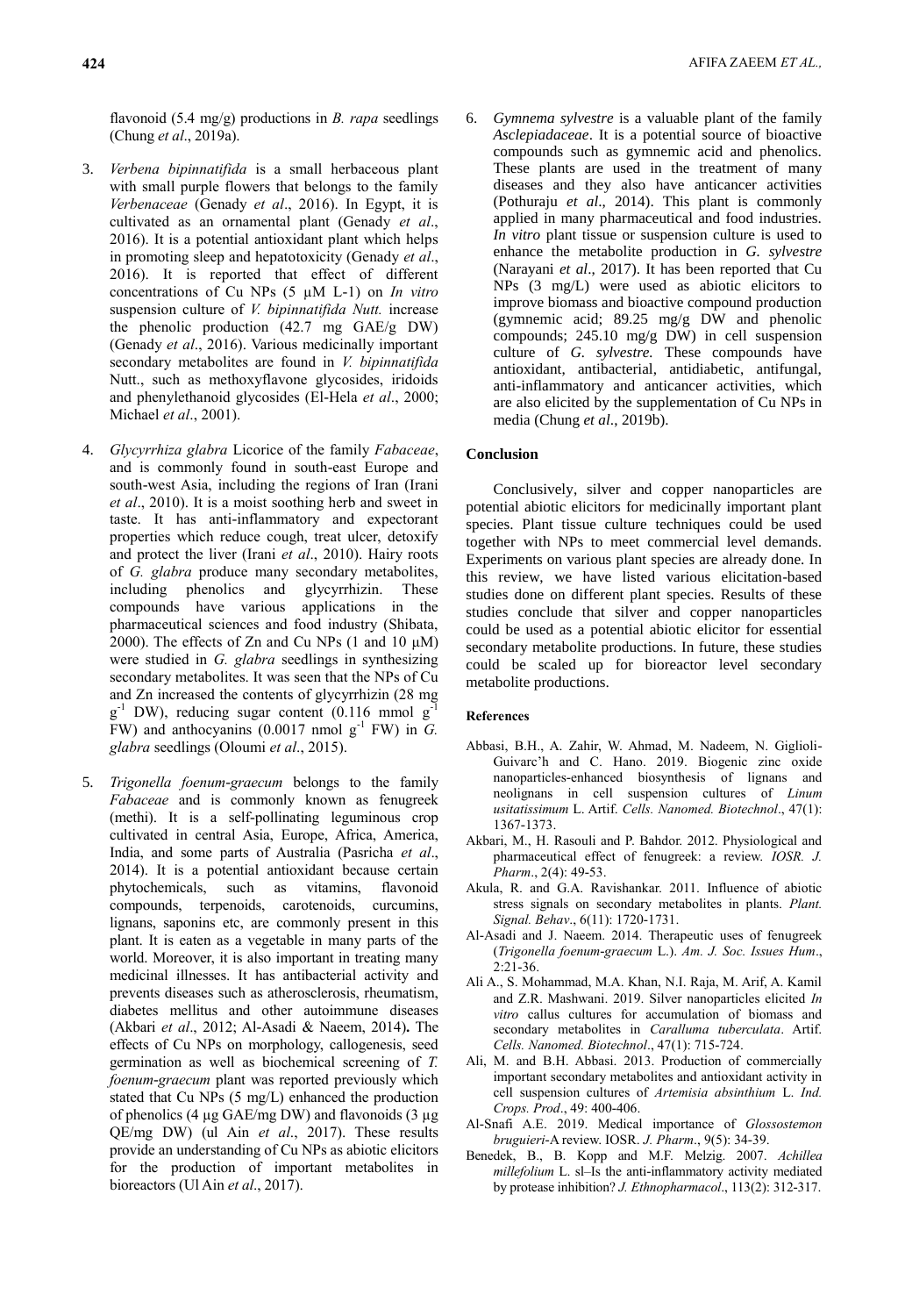flavonoid (5.4 mg/g) productions in *B. rapa* seedlings (Chung *et al*., 2019a).

- 3. *Verbena bipinnatifida* is a small herbaceous plant with small purple flowers that belongs to the family *Verbenaceae* (Genady *et al*., 2016). In Egypt, it is cultivated as an ornamental plant (Genady *et al*., 2016). It is a potential antioxidant plant which helps in promoting sleep and hepatotoxicity (Genady *et al*., 2016). It is reported that effect of different concentrations of Cu NPs (5 µM L-1) on *In vitro* suspension culture of *V. bipinnatifida Nutt.* increase the phenolic production (42.7 mg GAE/g DW) (Genady *et al*., 2016). Various medicinally important secondary metabolites are found in *V. bipinnatifida* Nutt., such as methoxyflavone glycosides, iridoids and phenylethanoid glycosides (El-Hela *et al*., 2000; Michael *et al*., 2001).
- 4. *Glycyrrhiza glabra* Licorice of the family *Fabaceae*, and is commonly found in south-east Europe and south-west Asia, including the regions of Iran (Irani *et al*., 2010). It is a moist soothing herb and sweet in taste. It has anti-inflammatory and expectorant properties which reduce cough, treat ulcer, detoxify and protect the liver (Irani *et al*., 2010). Hairy roots of *G. glabra* produce many secondary metabolites, including phenolics and glycyrrhizin. These compounds have various applications in the pharmaceutical sciences and food industry (Shibata, 2000). The effects of Zn and Cu NPs  $(1 \text{ and } 10 \text{ }\mu\text{M})$ were studied in *G. glabra* seedlings in synthesizing secondary metabolites. It was seen that the NPs of Cu and Zn increased the contents of glycyrrhizin (28 mg  $g^{-1}$  DW), reducing sugar content (0.116 mmol  $g^{-1}$ FW) and anthocyanins  $(0.0017 \text{ nmol g}^{-1}$  FW) in *G*. *glabra* seedlings (Oloumi *et al*., 2015).
- 5. *Trigonella foenum-graecum* belongs to the family *Fabaceae* and is commonly known as fenugreek (methi). It is a self-pollinating leguminous crop cultivated in central Asia, Europe, Africa, America, India, and some parts of Australia (Pasricha *et al*., 2014). It is a potential antioxidant because certain phytochemicals, such as vitamins, flavonoid compounds, terpenoids, carotenoids, curcumins, lignans, saponins etc, are commonly present in this plant. It is eaten as a vegetable in many parts of the world. Moreover, it is also important in treating many medicinal illnesses. It has antibacterial activity and prevents diseases such as atherosclerosis, rheumatism, diabetes mellitus and other autoimmune diseases (Akbari *et al*., 2012; Al-Asadi & Naeem, 2014)**.** The effects of Cu NPs on morphology, callogenesis, seed germination as well as biochemical screening of *T. foenum-graecum* plant was reported previously which stated that Cu NPs (5 mg/L) enhanced the production of phenolics (4  $\mu$ g GAE/mg DW) and flavonoids (3  $\mu$ g QE/mg DW) (ul Ain *et al*., 2017). These results provide an understanding of Cu NPs as abiotic elicitors for the production of important metabolites in bioreactors (Ul Ain *et al*., 2017).

6. *Gymnema sylvestre* is a valuable plant of the family *Asclepiadaceae*. It is a potential source of bioactive compounds such as gymnemic acid and phenolics. These plants are used in the treatment of many diseases and they also have anticancer activities (Pothuraju *et al*., 2014). This plant is commonly applied in many pharmaceutical and food industries. *In vitro* plant tissue or suspension culture is used to enhance the metabolite production in *G. sylvestre*  (Narayani *et al*., 2017). It has been reported that Cu NPs (3 mg/L) were used as abiotic elicitors to improve biomass and bioactive compound production (gymnemic acid; 89.25 mg/g DW and phenolic compounds; 245.10 mg/g DW) in cell suspension culture of *G. sylvestre.* These compounds have antioxidant, antibacterial, antidiabetic, antifungal, anti-inflammatory and anticancer activities, which are also elicited by the supplementation of Cu NPs in media (Chung *et al*., 2019b).

## **Conclusion**

Conclusively, silver and copper nanoparticles are potential abiotic elicitors for medicinally important plant species. Plant tissue culture techniques could be used together with NPs to meet commercial level demands. Experiments on various plant species are already done. In this review, we have listed various elicitation-based studies done on different plant species. Results of these studies conclude that silver and copper nanoparticles could be used as a potential abiotic elicitor for essential secondary metabolite productions. In future, these studies could be scaled up for bioreactor level secondary metabolite productions.

#### **References**

- Abbasi, B.H., A. Zahir, W. Ahmad, M. Nadeem, N. Giglioli-Guivarc'h and C. Hano. 2019. Biogenic zinc oxide nanoparticles-enhanced biosynthesis of lignans and neolignans in cell suspension cultures of *Linum usitatissimum* L. Artif. *Cells. Nanomed. Biotechnol*., 47(1): 1367-1373.
- Akbari, M., H. Rasouli and P. Bahdor. 2012. Physiological and pharmaceutical effect of fenugreek: a review. *IOSR. J. Pharm*., 2(4): 49-53.
- Akula, R. and G.A. Ravishankar. 2011. Influence of abiotic stress signals on secondary metabolites in plants. *Plant. Signal. Behav*., 6(11): 1720-1731.
- Al-Asadi and J. Naeem. 2014. Therapeutic uses of fenugreek (*Trigonella foenum-graecum* L.). *Am. J. Soc. Issues Hum*.,  $2:21-36$
- Ali A., S. Mohammad, M.A. Khan, N.I. Raja, M. Arif, A. Kamil and Z.R. Mashwani. 2019. Silver nanoparticles elicited *In vitro* callus cultures for accumulation of biomass and secondary metabolites in *Caralluma tuberculata*. Artif. *Cells. Nanomed. Biotechnol*., 47(1): 715-724.
- Ali, M. and B.H. Abbasi. 2013. Production of commercially important secondary metabolites and antioxidant activity in cell suspension cultures of *Artemisia absinthium* L. *Ind. Crops. Prod*., 49: 400-406.
- Al-Snafi A.E. 2019. Medical importance of *Glossostemon bruguieri-*A review. IOSR. *J. Pharm*., 9(5): 34-39.
- Benedek, B., B. Kopp and M.F. Melzig. 2007. *Achillea millefolium* L. sl–Is the anti-inflammatory activity mediated by protease inhibition? *J. Ethnopharmacol*., 113(2): 312-317.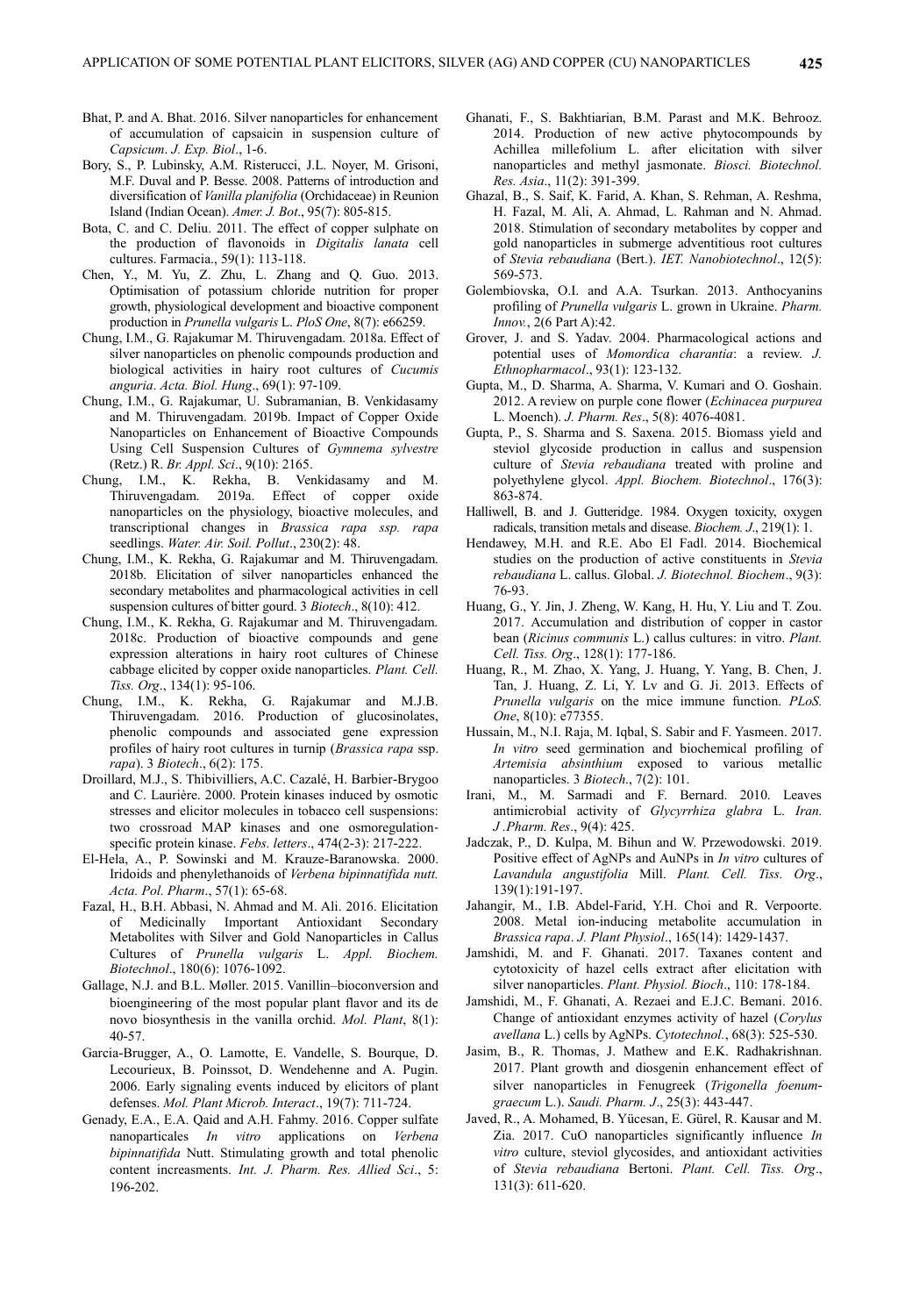- Bhat, P. and A. Bhat. 2016. Silver nanoparticles for enhancement of accumulation of capsaicin in suspension culture of *Capsicum*. *J. Exp. Biol*., 1-6.
- Bory, S., P. Lubinsky, A.M. Risterucci, J.L. Noyer, M. Grisoni, M.F. Duval and P. Besse. 2008. Patterns of introduction and diversification of *Vanilla planifolia* (Orchidaceae) in Reunion Island (Indian Ocean). *Amer. J. Bot*., 95(7): 805-815.
- Bota, C. and C. Deliu. 2011. The effect of copper sulphate on the production of flavonoids in *Digitalis lanata* cell cultures. Farmacia., 59(1): 113-118.
- Chen, Y., M. Yu, Z. Zhu, L. Zhang and Q. Guo. 2013. Optimisation of potassium chloride nutrition for proper growth, physiological development and bioactive component production in *Prunella vulgaris* L. *PloS One*, 8(7): e66259.
- Chung, I.M., G. Rajakumar M. Thiruvengadam. 2018a. Effect of silver nanoparticles on phenolic compounds production and biological activities in hairy root cultures of *Cucumis anguria*. *Acta. Biol. Hung*., 69(1): 97-109.
- Chung, I.M., G. Rajakumar, U. Subramanian, B. Venkidasamy and M. Thiruvengadam. 2019b. Impact of Copper Oxide Nanoparticles on Enhancement of Bioactive Compounds Using Cell Suspension Cultures of *Gymnema sylvestre* (Retz.) R. *Br. Appl. Sci*., 9(10): 2165.
- Chung, I.M., K. Rekha, B. Venkidasamy and M. Thiruvengadam. 2019a. Effect of copper oxide nanoparticles on the physiology, bioactive molecules, and transcriptional changes in *Brassica rapa ssp. rapa* seedlings. *Water. Air. Soil. Pollut*., 230(2): 48.
- Chung, I.M., K. Rekha, G. Rajakumar and M. Thiruvengadam. 2018b. Elicitation of silver nanoparticles enhanced the secondary metabolites and pharmacological activities in cell suspension cultures of bitter gourd. 3 *Biotech*., 8(10): 412.
- Chung, I.M., K. Rekha, G. Rajakumar and M. Thiruvengadam. 2018c. Production of bioactive compounds and gene expression alterations in hairy root cultures of Chinese cabbage elicited by copper oxide nanoparticles. *Plant. Cell. Tiss. Org*., 134(1): 95-106.
- Chung, I.M., K. Rekha, G. Rajakumar and M.J.B. Thiruvengadam. 2016. Production of glucosinolates, phenolic compounds and associated gene expression profiles of hairy root cultures in turnip (*Brassica rapa* ssp. *rapa*). 3 *Biotech*., 6(2): 175.
- Droillard, M.J., S. Thibivilliers, A.C. Cazalé, H. Barbier-Brygoo and C. Laurière. 2000. Protein kinases induced by osmotic stresses and elicitor molecules in tobacco cell suspensions: two crossroad MAP kinases and one osmoregulation‐ specific protein kinase. *Febs. letters*., 474(2-3): 217-222.
- El-Hela, A., P. Sowinski and M. Krauze-Baranowska. 2000. Iridoids and phenylethanoids of *Verbena bipinnatifida nutt. Acta. Pol. Pharm*., 57(1): 65-68.
- Fazal, H., B.H. Abbasi, N. Ahmad and M. Ali. 2016. Elicitation of Medicinally Important Antioxidant Secondary Metabolites with Silver and Gold Nanoparticles in Callus Cultures of *Prunella vulgaris* L. *Appl. Biochem. Biotechnol*., 180(6): 1076-1092.
- Gallage, N.J. and B.L. Møller. 2015. Vanillin–bioconversion and bioengineering of the most popular plant flavor and its de novo biosynthesis in the vanilla orchid. *Mol. Plant*, 8(1): 40-57.
- Garcia-Brugger, A., O. Lamotte, E. Vandelle, S. Bourque, D. Lecourieux, B. Poinssot, D. Wendehenne and A. Pugin. 2006. Early signaling events induced by elicitors of plant defenses. *Mol. Plant Microb. Interact*., 19(7): 711-724.
- Genady, E.A., E.A. Qaid and A.H. Fahmy. 2016. Copper sulfate nanoparticales *In vitro* applications on *Verbena bipinnatifida* Nutt. Stimulating growth and total phenolic content increasments. *Int. J. Pharm. Res. Allied Sci*., 5: 196-202.
- Ghanati, F., S. Bakhtiarian, B.M. Parast and M.K. Behrooz. 2014. Production of new active phytocompounds by Achillea millefolium L. after elicitation with silver nanoparticles and methyl jasmonate. *Biosci. Biotechnol. Res. Asia*., 11(2): 391-399.
- Ghazal, B., S. Saif, K. Farid, A. Khan, S. Rehman, A. Reshma, H. Fazal, M. Ali, A. Ahmad, L. Rahman and N. Ahmad. 2018. Stimulation of secondary metabolites by copper and gold nanoparticles in submerge adventitious root cultures of *Stevia rebaudiana* (Bert.). *IET. Nanobiotechnol*., 12(5): 569-573.
- Golembiovska, O.I. and A.A. Tsurkan. 2013. Anthocyanins profiling of *Prunella vulgaris* L. grown in Ukraine. *Pharm. Innov.*, 2(6 Part A):42.
- Grover, J. and S. Yadav. 2004. Pharmacological actions and potential uses of *Momordica charantia*: a review. *J. Ethnopharmacol*., 93(1): 123-132.
- Gupta, M., D. Sharma, A. Sharma, V. Kumari and O. Goshain. 2012. A review on purple cone flower (*Echinacea purpurea* L. Moench). *J. Pharm. Res*., 5(8): 4076-4081.
- Gupta, P., S. Sharma and S. Saxena. 2015. Biomass yield and steviol glycoside production in callus and suspension culture of *Stevia rebaudiana* treated with proline and polyethylene glycol. *Appl. Biochem. Biotechnol*., 176(3): 863-874.
- Halliwell, B. and J. Gutteridge. 1984. Oxygen toxicity, oxygen radicals, transition metals and disease. *Biochem. J*., 219(1): 1.
- Hendawey, M.H. and R.E. Abo El Fadl. 2014. Biochemical studies on the production of active constituents in *Stevia rebaudiana* L. callus. Global. *J. Biotechnol. Biochem*., 9(3): 76-93.
- Huang, G., Y. Jin, J. Zheng, W. Kang, H. Hu, Y. Liu and T. Zou. 2017. Accumulation and distribution of copper in castor bean (*Ricinus communis* L.) callus cultures: in vitro. *Plant. Cell. Tiss. Org*., 128(1): 177-186.
- Huang, R., M. Zhao, X. Yang, J. Huang, Y. Yang, B. Chen, J. Tan, J. Huang, Z. Li, Y. Lv and G. Ji. 2013. Effects of *Prunella vulgaris* on the mice immune function. *PLoS. One*, 8(10): e77355.
- Hussain, M., N.I. Raja, M. Iqbal, S. Sabir and F. Yasmeen. 2017. *In vitro* seed germination and biochemical profiling of *Artemisia absinthium* exposed to various metallic nanoparticles. 3 *Biotech*., 7(2): 101.
- Irani, M., M. Sarmadi and F. Bernard. 2010. Leaves antimicrobial activity of *Glycyrrhiza glabra* L. *Iran. J .Pharm. Res*., 9(4): 425.
- Jadczak, P., D. Kulpa, M. Bihun and W. Przewodowski. 2019. Positive effect of AgNPs and AuNPs in *In vitro* cultures of *Lavandula angustifolia* Mill. *Plant. Cell. Tiss. Org*., 139(1):191-197.
- Jahangir, M., I.B. Abdel-Farid, Y.H. Choi and R. Verpoorte. 2008. Metal ion-inducing metabolite accumulation in *Brassica rapa*. *J. Plant Physiol*., 165(14): 1429-1437.
- Jamshidi, M. and F. Ghanati. 2017. Taxanes content and cytotoxicity of hazel cells extract after elicitation with silver nanoparticles. *Plant. Physiol. Bioch*., 110: 178-184.
- Jamshidi, M., F. Ghanati, A. Rezaei and E.J.C. Bemani. 2016. Change of antioxidant enzymes activity of hazel (*Corylus avellana* L.) cells by AgNPs. *Cytotechnol.*, 68(3): 525-530.
- Jasim, B., R. Thomas, J. Mathew and E.K. Radhakrishnan. 2017. Plant growth and diosgenin enhancement effect of silver nanoparticles in Fenugreek (*Trigonella foenumgraecum* L.). *Saudi. Pharm. J*., 25(3): 443-447.
- Javed, R., A. Mohamed, B. Yücesan, E. Gürel, R. Kausar and M. Zia. 2017. CuO nanoparticles significantly influence *In vitro* culture, steviol glycosides, and antioxidant activities of *Stevia rebaudiana* Bertoni. *Plant. Cell. Tiss. Org*., 131(3): 611-620.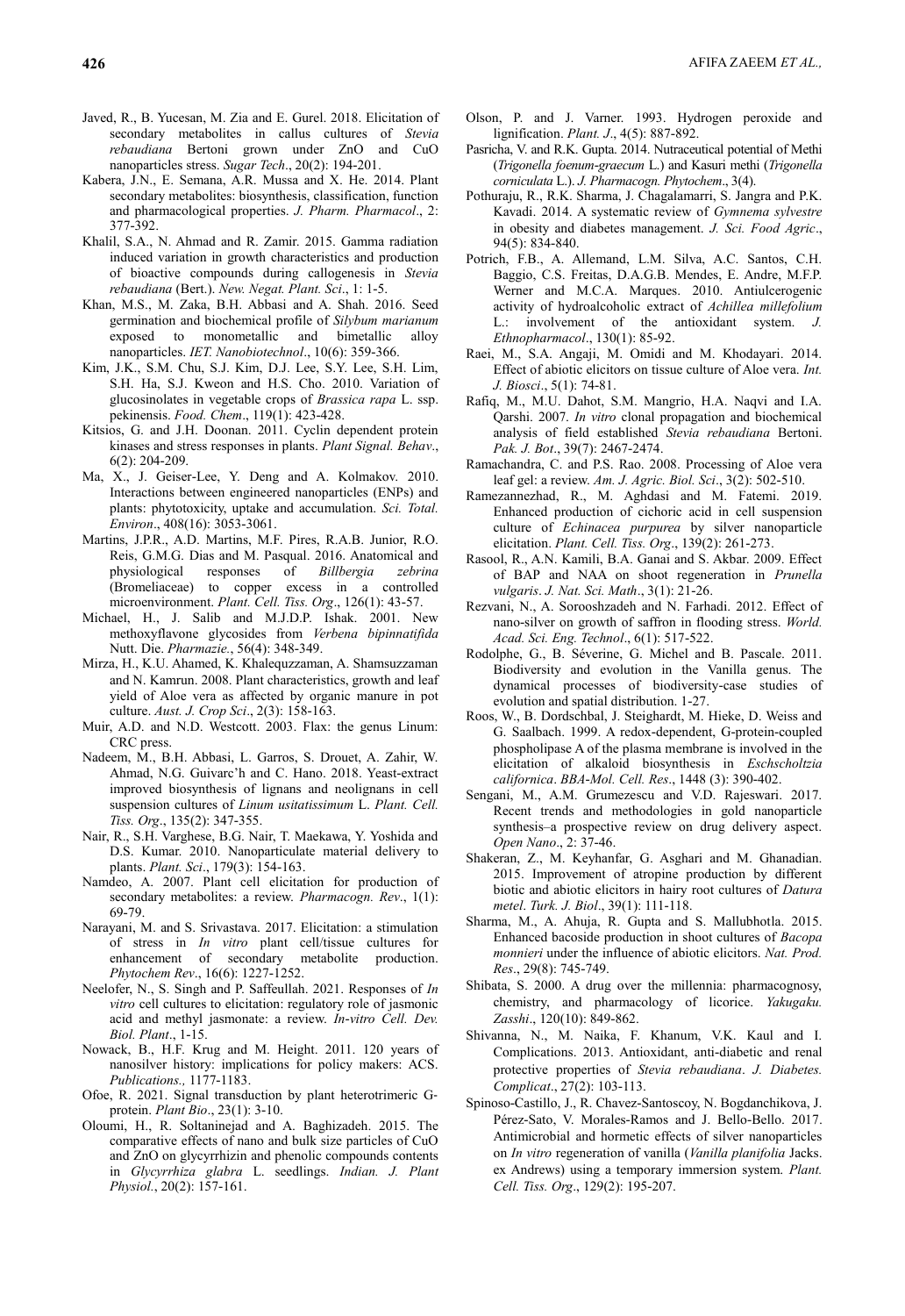- Javed, R., B. Yucesan, M. Zia and E. Gurel. 2018. Elicitation of secondary metabolites in callus cultures of *Stevia rebaudiana* Bertoni grown under ZnO and CuO nanoparticles stress. *Sugar Tech*., 20(2): 194-201.
- Kabera, J.N., E. Semana, A.R. Mussa and X. He. 2014. Plant secondary metabolites: biosynthesis, classification, function and pharmacological properties. *J. Pharm. Pharmacol*., 2: 377-392.
- Khalil, S.A., N. Ahmad and R. Zamir. 2015. Gamma radiation induced variation in growth characteristics and production of bioactive compounds during callogenesis in *Stevia rebaudiana* (Bert.). *New. Negat. Plant. Sci*., 1: 1-5.
- Khan, M.S., M. Zaka, B.H. Abbasi and A. Shah. 2016. Seed germination and biochemical profile of *Silybum marianum* exposed to monometallic and bimetallic alloy nanoparticles. *IET. Nanobiotechnol*., 10(6): 359-366.
- Kim, J.K., S.M. Chu, S.J. Kim, D.J. Lee, S.Y. Lee, S.H. Lim, S.H. Ha, S.J. Kweon and H.S. Cho. 2010. Variation of glucosinolates in vegetable crops of *Brassica rapa* L. ssp. pekinensis. *Food. Chem*., 119(1): 423-428.
- Kitsios, G. and J.H. Doonan. 2011. Cyclin dependent protein kinases and stress responses in plants. *Plant Signal. Behav*., 6(2): 204-209.
- Ma, X., J. Geiser-Lee, Y. Deng and A. Kolmakov. 2010. Interactions between engineered nanoparticles (ENPs) and plants: phytotoxicity, uptake and accumulation. *Sci. Total. Environ*., 408(16): 3053-3061.
- Martins, J.P.R., A.D. Martins, M.F. Pires, R.A.B. Junior, R.O. Reis, G.M.G. Dias and M. Pasqual. 2016. Anatomical and physiological responses of *Billbergia zebrina* physiological responses of *Billbergia zebrina* (Bromeliaceae) to copper excess in a controlled microenvironment. *Plant. Cell. Tiss. Org*., 126(1): 43-57.
- Michael, H., J. Salib and M.J.D.P. Ishak. 2001. New methoxyflavone glycosides from *Verbena bipinnatifida* Nutt. Die. *Pharmazie.*, 56(4): 348-349.
- Mirza, H., K.U. Ahamed, K. Khalequzzaman, A. Shamsuzzaman and N. Kamrun. 2008. Plant characteristics, growth and leaf yield of Aloe vera as affected by organic manure in pot culture. *Aust. J. Crop Sci*., 2(3): 158-163.
- Muir, A.D. and N.D. Westcott. 2003. Flax: the genus Linum: CRC press.
- Nadeem, M., B.H. Abbasi, L. Garros, S. Drouet, A. Zahir, W. Ahmad, N.G. Guivarc'h and C. Hano. 2018. Yeast-extract improved biosynthesis of lignans and neolignans in cell suspension cultures of *Linum usitatissimum* L. *Plant. Cell. Tiss. Org*., 135(2): 347-355.
- Nair, R., S.H. Varghese, B.G. Nair, T. Maekawa, Y. Yoshida and D.S. Kumar. 2010. Nanoparticulate material delivery to plants. *Plant. Sci*., 179(3): 154-163.
- Namdeo, A. 2007. Plant cell elicitation for production of secondary metabolites: a review. *Pharmacogn. Rev*., 1(1): 69-79.
- Narayani, M. and S. Srivastava. 2017. Elicitation: a stimulation of stress in *In vitro* plant cell/tissue cultures for enhancement of secondary metabolite production. *Phytochem Rev*., 16(6): 1227-1252.
- Neelofer, N., S. Singh and P. Saffeullah. 2021. Responses of *In vitro* cell cultures to elicitation: regulatory role of jasmonic acid and methyl jasmonate: a review. *In-vitro Cell. Dev. Biol. Plant*., 1-15.
- Nowack, B., H.F. Krug and M. Height. 2011. 120 years of nanosilver history: implications for policy makers: ACS. *Publications.,* 1177-1183.
- Ofoe, R. 2021. Signal transduction by plant heterotrimeric G‐ protein. *Plant Bio*., 23(1): 3-10.
- Oloumi, H., R. Soltaninejad and A. Baghizadeh. 2015. The comparative effects of nano and bulk size particles of CuO and ZnO on glycyrrhizin and phenolic compounds contents in *Glycyrrhiza glabra* L. seedlings. *Indian. J. Plant Physiol.*, 20(2): 157-161.
- Olson, P. and J. Varner. 1993. Hydrogen peroxide and lignification. *Plant. J*., 4(5): 887-892.
- Pasricha, V. and R.K. Gupta. 2014. Nutraceutical potential of Methi (*Trigonella foenum-graecum* L.) and Kasuri methi (*Trigonella corniculata* L.). *J. Pharmacogn. Phytochem*., 3(4).
- Pothuraju, R., R.K. Sharma, J. Chagalamarri, S. Jangra and P.K. Kavadi. 2014. A systematic review of *Gymnema sylvestre* in obesity and diabetes management. *J. Sci. Food Agric*., 94(5): 834-840.
- Potrich, F.B., A. Allemand, L.M. Silva, A.C. Santos, C.H. Baggio, C.S. Freitas, D.A.G.B. Mendes, E. Andre, M.F.P. Werner and M.C.A. Marques. 2010. Antiulcerogenic activity of hydroalcoholic extract of *Achillea millefolium* L.: involvement of the antioxidant system. *J. Ethnopharmacol*., 130(1): 85-92.
- Raei, M., S.A. Angaji, M. Omidi and M. Khodayari. 2014. Effect of abiotic elicitors on tissue culture of Aloe vera. *Int. J. Biosci*., 5(1): 74-81.
- Rafiq, M., M.U. Dahot, S.M. Mangrio, H.A. Naqvi and I.A. Qarshi. 2007. *In vitro* clonal propagation and biochemical analysis of field established *Stevia rebaudiana* Bertoni. *Pak. J. Bot*., 39(7): 2467-2474.
- Ramachandra, C. and P.S. Rao. 2008. Processing of Aloe vera leaf gel: a review. *Am. J. Agric. Biol. Sci*., 3(2): 502-510.
- Ramezannezhad, R., M. Aghdasi and M. Fatemi. 2019. Enhanced production of cichoric acid in cell suspension culture of *Echinacea purpurea* by silver nanoparticle elicitation. *Plant. Cell. Tiss. Org*., 139(2): 261-273.
- Rasool, R., A.N. Kamili, B.A. Ganai and S. Akbar. 2009. Effect of BAP and NAA on shoot regeneration in *Prunella vulgaris*. *J. Nat. Sci. Math*., 3(1): 21-26.
- Rezvani, N., A. Sorooshzadeh and N. Farhadi. 2012. Effect of nano-silver on growth of saffron in flooding stress. *World. Acad. Sci. Eng. Technol*., 6(1): 517-522.
- Rodolphe, G., B. Séverine, G. Michel and B. Pascale. 2011. Biodiversity and evolution in the Vanilla genus. The dynamical processes of biodiversity-case studies of evolution and spatial distribution. 1-27.
- Roos, W., B. Dordschbal, J. Steighardt, M. Hieke, D. Weiss and G. Saalbach. 1999. A redox-dependent, G-protein-coupled phospholipase A of the plasma membrane is involved in the elicitation of alkaloid biosynthesis in *Eschscholtzia californica*. *BBA-Mol. Cell. Res*., 1448 (3): 390-402.
- Sengani, M., A.M. Grumezescu and V.D. Rajeswari. 2017. Recent trends and methodologies in gold nanoparticle synthesis–a prospective review on drug delivery aspect. *Open Nano*., 2: 37-46.
- Shakeran, Z., M. Keyhanfar, G. Asghari and M. Ghanadian. 2015. Improvement of atropine production by different biotic and abiotic elicitors in hairy root cultures of *Datura metel*. *Turk. J. Biol*., 39(1): 111-118.
- Sharma, M., A. Ahuja, R. Gupta and S. Mallubhotla. 2015. Enhanced bacoside production in shoot cultures of *Bacopa monnieri* under the influence of abiotic elicitors. *Nat. Prod. Res*., 29(8): 745-749.
- Shibata, S. 2000. A drug over the millennia: pharmacognosy, chemistry, and pharmacology of licorice. *Yakugaku. Zasshi*., 120(10): 849-862.
- Shivanna, N., M. Naika, F. Khanum, V.K. Kaul and I. Complications. 2013. Antioxidant, anti-diabetic and renal protective properties of *Stevia rebaudiana*. *J. Diabetes. Complicat*., 27(2): 103-113.
- Spinoso-Castillo, J., R. Chavez-Santoscoy, N. Bogdanchikova, J. Pérez-Sato, V. Morales-Ramos and J. Bello-Bello. 2017. Antimicrobial and hormetic effects of silver nanoparticles on *In vitro* regeneration of vanilla (*Vanilla planifolia* Jacks. ex Andrews) using a temporary immersion system. *Plant. Cell. Tiss. Org*., 129(2): 195-207.